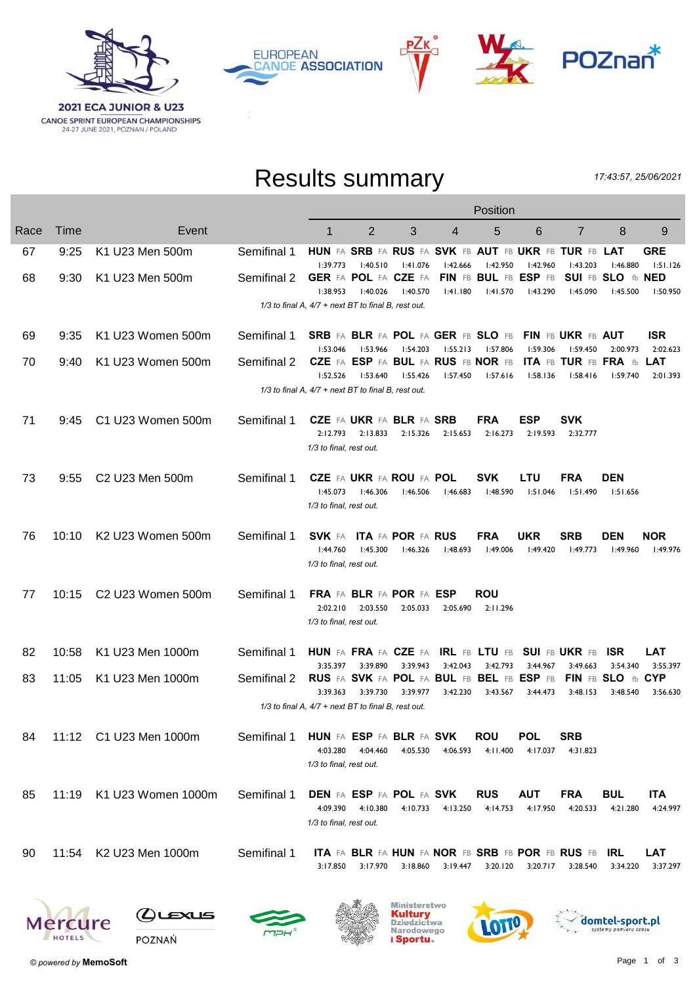







## Results summary

17:43:57, 25/06/2021

|      |       |                        |             | Position                                                          |                                                            |                      |                      |                                    |                        |                                                                     |                                           |                        |
|------|-------|------------------------|-------------|-------------------------------------------------------------------|------------------------------------------------------------|----------------------|----------------------|------------------------------------|------------------------|---------------------------------------------------------------------|-------------------------------------------|------------------------|
| Race | Time  | Event                  |             | 1                                                                 | $\overline{2}$                                             | 3                    | 4                    | 5                                  | 6                      | $\overline{7}$                                                      | 8                                         | 9                      |
| 67   | 9:25  | K1 U23 Men 500m        | Semifinal 1 | 1:39.773                                                          | 1:40.510                                                   | 1:41.076             | 1:42.666             | 1:42.950                           | 1:42.960               | HUN FA SRB FA RUS FA SVK FB AUT FB UKR FB TUR FB LAT<br>1:43.203    | 1:46.880                                  | <b>GRE</b><br>1:51.126 |
| 68   | 9:30  | K1 U23 Men 500m        | Semifinal 2 | 1:38.953                                                          | GER FA POL FA CZE FA<br>1:40.026                           | 1:40.570             | 1:41.180             | FIN FB BUL FB ESP FB<br>1:41.570   | 1:43.290               | I:45.090                                                            | SUI FB SLO fb NED<br>1:45.500             | 1:50.950               |
|      |       |                        |             | $1/3$ to final A, $4/7$ + next BT to final B, rest out.           |                                                            |                      |                      |                                    |                        |                                                                     |                                           |                        |
| 69   | 9:35  | K1 U23 Women 500m      | Semifinal 1 |                                                                   |                                                            |                      | 1:55.213             | SRB FA BLR FA POL FA GER FB SLO FB |                        | FIN FB UKR FB AUT                                                   |                                           | <b>ISR</b><br>2:02.623 |
| 70   | 9:40  | K1 U23 Women 500m      | Semifinal 2 | 1:53.046<br>1:52.526                                              | 1:53.966<br>CZE FA ESP FA BUL FA RUS FB NOR FB<br>1:53.640 | 1:54.203<br>1:55.426 | 1:57.450             | I:57.806<br>1:57.616               | 1:59.306<br>1:58.136   | 1:59.450<br><b>ITA FB TUR FB FRA fb</b><br>1:58.416                 | 2:00.973<br>l:59.740                      | <b>LAT</b><br>2:01.393 |
|      |       |                        |             | 1/3 to final A, 4/7 + next BT to final B, rest out.               |                                                            |                      |                      |                                    |                        |                                                                     |                                           |                        |
| 71   | 9:45  | C1 U23 Women 500m      | Semifinal 1 | 2:12.793<br>1/3 to final, rest out.                               | <b>CZE FA UKR FA BLR FA SRB</b><br>2:13.833                | 2:15.326             | 2:15.653             | <b>FRA</b><br>2:16.273             | ESP<br>2:19.593        | <b>SVK</b><br>2:32.777                                              |                                           |                        |
| 73   | 9:55  | C2 U23 Men 500m        | Semifinal 1 | 1:45.073<br>1/3 to final, rest out.                               | <b>CZE FA UKR FA ROU FA POL</b><br>1:46.306                | l:46.506             | 1:46.683             | <b>SVK</b><br>1:48.590             | <b>LTU</b><br>1:51.046 | FRA<br>1:51.490                                                     | <b>DEN</b><br>1:51.656                    |                        |
| 76   | 10:10 | K2 U23 Women 500m      | Semifinal 1 | 1:44.760<br>1/3 to final, rest out.                               | <b>SVK FA ITA FA POR FA RUS</b><br>1:45.300                | 1:46.326             | 1:48.693             | <b>FRA</b><br>1:49.006             | <b>UKR</b><br>l:49.420 | <b>SRB</b><br>1:49.773                                              | <b>DEN</b><br>1:49.960                    | <b>NOR</b><br>1:49.976 |
| 77   | 10:15 | C2 U23 Women 500m      | Semifinal 1 | 2:02.210<br>1/3 to final, rest out.                               | FRA FA BLR FA POR FA ESP<br>2:03.550                       | 2:05.033             | 2:05.690             | ROU<br>2:11.296                    |                        |                                                                     |                                           |                        |
| 82   | 10:58 | K1 U23 Men 1000m       | Semifinal 1 | <b>HUN</b> FA FRA FA CZE FA                                       |                                                            |                      |                      | <b>IRL FB LTU FB</b>               |                        | <b>SUI FB UKR FB</b>                                                | <b>ISR</b>                                | LAT                    |
| 83   | 11:05 | K1 U23 Men 1000m       | Semifinal 2 | 3:35.397<br>RUS FA SVK FA POL FA BUL FB BEL FB ESP FB<br>3:39.363 | 3:39.890<br>3:39.730                                       | 3:39.943<br>3:39.977 | 3:42.043<br>3:42.230 | 3:42.793<br>3:43.567               | 3:44.967<br>3:44.473   | 3:49.663<br>3:48.153                                                | 3:54.340<br>FIN FB SLO fb CYP<br>3:48.540 | 3:55.397<br>3:56.630   |
|      |       |                        |             | 1/3 to final A, 4/7 + next BT to final B, rest out.               |                                                            |                      |                      |                                    |                        |                                                                     |                                           |                        |
| 84   |       | 11:12 C1 U23 Men 1000m | Semifinal 1 | HUN FA ESP FA BLR FA SVK<br>4:03.280<br>1/3 to final, rest out.   | 4:04.460                                                   | 4:05.530             | 4:06.593             | <b>ROU</b><br>4:11.400             | POL<br>4:17.037        | <b>SRB</b><br>4:31.823                                              |                                           |                        |
| 85   | 11:19 | K1 U23 Women 1000m     | Semifinal 1 | 4:09.390<br>1/3 to final, rest out.                               | <b>DEN FA ESP FA POL FA SVK</b><br>4:10.380                |                      | 4:10.733 4:13.250    | <b>RUS</b><br>4:14.753             | <b>AUT</b><br>4:17.950 | <b>FRA</b><br>4:20.533                                              | <b>BUL</b><br>4:21.280                    | <b>ITA</b><br>4:24.997 |
| 90   | 11:54 | K2 U23 Men 1000m       | Semifinal 1 | 3:17.850                                                          | 3:17.970                                                   | 3:18.860             | 3:19.447             | 3:20.120                           | 3:20.717               | <b>ITA FA BLR FA HUN FA NOR FB SRB FB POR FB RUS FB</b><br>3:28.540 | <b>IRL</b><br>3:34.220                    | LAT<br>3:37.297        |
|      |       |                        |             |                                                                   |                                                            |                      |                      |                                    |                        |                                                                     |                                           |                        |





 $Q$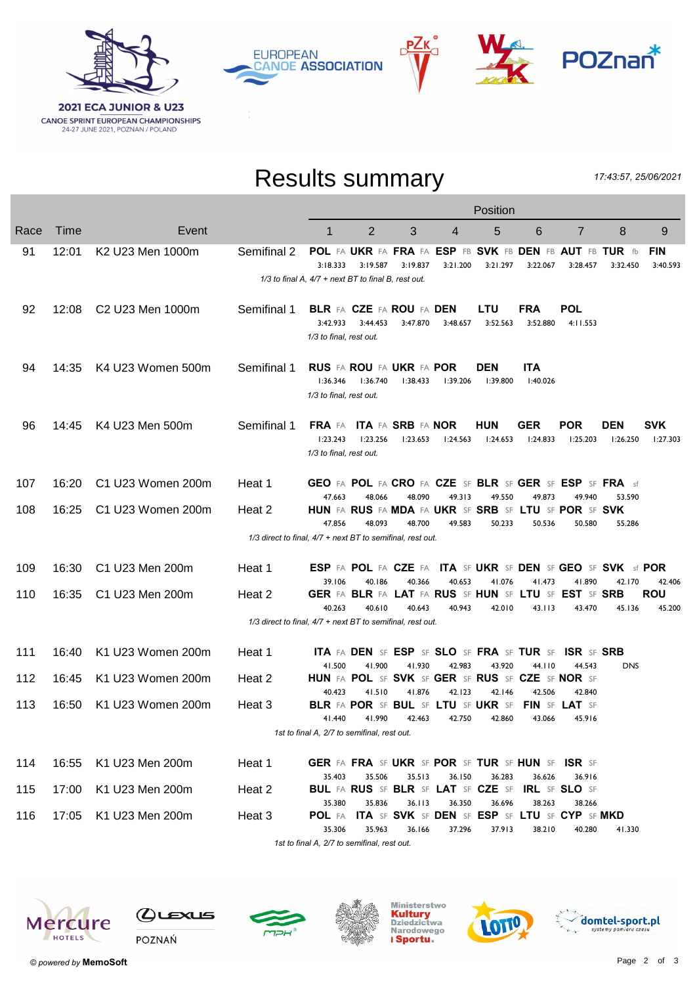

**EUROPEAN CANOE ASSOCIATION** 



## Results summary

РΖк

17:43:57, 25/06/2021

|      |       |                                          |                                                                | Position                                                |                                                                          |                  |                  |                        |                        |                                                         |                        |                                |  |
|------|-------|------------------------------------------|----------------------------------------------------------------|---------------------------------------------------------|--------------------------------------------------------------------------|------------------|------------------|------------------------|------------------------|---------------------------------------------------------|------------------------|--------------------------------|--|
| Race | Time  | Event                                    |                                                                | 1                                                       | $\overline{2}$                                                           | 3                | 4                | 5                      | 6                      | $\overline{7}$                                          | 8                      | 9                              |  |
| 91   | 12:01 | K2 U23 Men 1000m                         | Semifinal 2                                                    | 3:18.333                                                | POL FA UKR FA FRA FA ESP FB SVK FB DEN FB AUT FB TUR fb<br>3:19.587      | 3:19.837         | 3:21.200         | 3:21.297               | 3:22.067               | 3:28.457                                                | 3:32.450               | <b>FIN</b><br>3:40.593         |  |
|      |       |                                          |                                                                | $1/3$ to final A, $4/7$ + next BT to final B, rest out. |                                                                          |                  |                  |                        |                        |                                                         |                        |                                |  |
| 92   | 12:08 | C <sub>2</sub> U <sub>23</sub> Men 1000m | Semifinal 1                                                    | 3:42.933<br>1/3 to final, rest out.                     | <b>BLR FA CZE FA ROU FA DEN</b><br>3:44.453                              | 3:47.870         | 3:48.657         | <b>LTU</b><br>3:52.563 | <b>FRA</b><br>3:52.880 | POL<br>4:11.553                                         |                        |                                |  |
| 94   | 14:35 | K4 U23 Women 500m                        | Semifinal 1                                                    | 1:36.346<br>1/3 to final, rest out.                     | RUS FA ROU FA UKR FA POR<br>l:36.740                                     | 1:38.433         | 1:39.206         | <b>DEN</b><br>1:39.800 | <b>ITA</b><br>1:40.026 |                                                         |                        |                                |  |
| 96   | 14:45 | K4 U23 Men 500m                          | Semifinal 1                                                    | 1:23.243<br>1/3 to final, rest out.                     | FRA FA ITA FA SRB FA NOR<br>1:23.256                                     | 1:23.653         | 1:24.563         | <b>HUN</b><br>1:24.653 | <b>GER</b><br>1:24.833 | <b>POR</b><br>1:25.203                                  | <b>DEN</b><br>1:26.250 | <b>SVK</b><br>1:27.303         |  |
| 107  | 16:20 | C1 U23 Women 200m                        | Heat 1                                                         | 47.663                                                  | GEO FA POL FA CRO FA CZE SF BLR SF GER SF ESP SF FRA sf<br>48.066        | 48.090           | 49.313           | 49.550                 | 49.873                 | 49.940                                                  | 53.590                 |                                |  |
| 108  | 16:25 | C1 U23 Women 200m                        | Heat 2                                                         | 47.856                                                  | HUN FA RUS FA MDA FA UKR SF SRB SF LTU SF POR SF SVK<br>48.093           | 48.700           | 49.583           | 50.233                 | 50.536                 | 50.580                                                  | 55.286                 |                                |  |
|      |       |                                          | $1/3$ direct to final, $4/7$ + next BT to semifinal, rest out. |                                                         |                                                                          |                  |                  |                        |                        |                                                         |                        |                                |  |
| 109  | 16:30 | C1 U23 Men 200m                          | Heat 1                                                         |                                                         | <b>ESP FA POL FA CZE FA ITA SF UKR SF DEN SF GEO SF SVK sf POR</b>       |                  |                  |                        |                        |                                                         |                        |                                |  |
| 110  | 16:35 | C1 U23 Men 200m                          | Heat 2                                                         | 39.106<br>40.263                                        | 40.186<br>GER FA BLR FA LAT FA RUS SF HUN SF LTU SF EST SF SRB<br>40.610 | 40.366<br>40.643 | 40.653<br>40.943 | 41.076<br>42.010       | 41.473<br>43.113       | 41.890<br>43.470                                        | 42.170<br>45.136       | 42.406<br><b>ROU</b><br>45.200 |  |
|      |       |                                          | $1/3$ direct to final, $4/7$ + next BT to semifinal, rest out. |                                                         |                                                                          |                  |                  |                        |                        |                                                         |                        |                                |  |
| 111  | 16:40 | K1 U23 Women 200m                        | Heat 1                                                         |                                                         | ITA FA DEN SF ESP SF SLO SF FRA SF TUR SF                                |                  |                  |                        |                        | <b>ISR SF SRB</b>                                       |                        |                                |  |
| 112  | 16:45 | K1 U23 Women 200m                        | Heat 2                                                         | 41.500<br>40.423                                        | 41.900<br>HUN FA POL SF SVK SF GER SF RUS SF CZE SF NOR SF<br>41.510     | 41.930<br>41.876 | 42.983<br>42.123 | 43.920<br>42.146       | 44.110<br>42.506       | 44.543<br>42.840                                        | <b>DNS</b>             |                                |  |
| 113  | 16:50 | K1 U23 Women 200m                        | Heat 3                                                         | 41.440                                                  | <b>BLR FA POR SF BUL SF LTU SF UKR SF</b><br>41.990                      | 42.463           | 42.750           | 42.860                 | 43.066                 | FIN SF LAT SF<br>45.916                                 |                        |                                |  |
|      |       |                                          |                                                                | 1st to final A, 2/7 to semifinal, rest out.             |                                                                          |                  |                  |                        |                        |                                                         |                        |                                |  |
| 114  | 16:55 | K1 U23 Men 200m                          | Heat 1                                                         | 35.403                                                  | GER FA FRA SF UKR SF POR SF TUR SF HUN SF ISR SF<br>35.506               | 35.513           | 36.150           | 36.283                 | 36.626                 | 36.916                                                  |                        |                                |  |
| 115  | 17:00 | K1 U23 Men 200m                          | Heat 2                                                         | 35.380                                                  | <b>BUL FA RUS SF BLR SF LAT SF CZE SF</b><br>35.836                      | 36.113           | 36.350           | 36.696                 | 38.263                 | IRL SF SLO SF<br>38.266                                 |                        |                                |  |
| 116  | 17:05 | K1 U23 Men 200m                          | Heat 3                                                         | POL FA<br>35.306                                        | 35.963                                                                   | 36.166           | 37.296           | 37.913                 | 38.210                 | ITA SF SVK SF DEN SF ESP SF LTU SF CYP SF MKD<br>40.280 | 41.330                 |                                |  |
|      |       |                                          |                                                                |                                                         |                                                                          |                  |                  |                        |                        |                                                         |                        |                                |  |

1st to final A, 2/7 to semifinal, rest out.